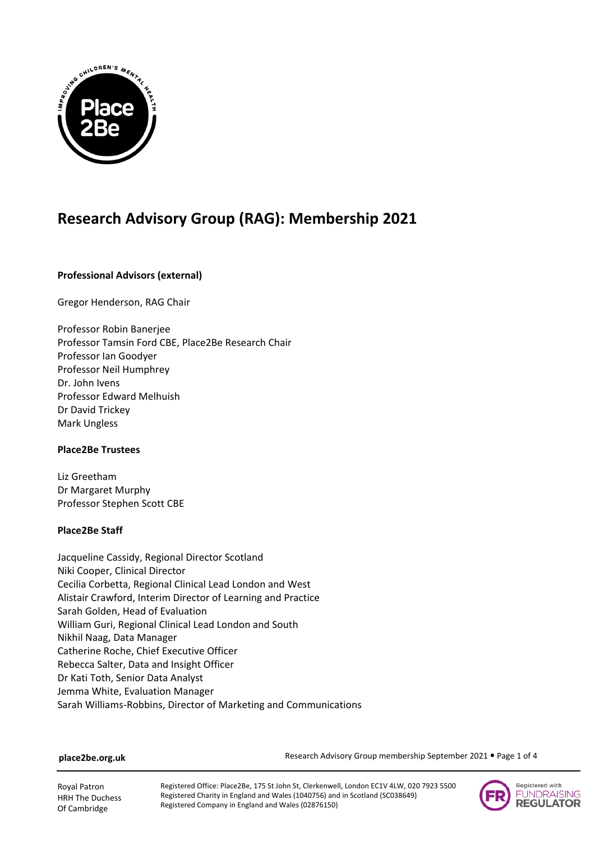

# **Research Advisory Group (RAG): Membership 2021**

# **Professional Advisors (external)**

Gregor Henderson, RAG Chair

Professor Robin Banerjee Professor Tamsin Ford CBE, Place2Be Research Chair Professor Ian Goodyer Professor Neil Humphrey Dr. John Ivens Professor Edward Melhuish Dr David Trickey Mark Ungless

# **Place2Be Trustees**

Liz Greetham Dr Margaret Murphy Professor Stephen Scott CBE

# **Place2Be Staff**

Jacqueline Cassidy, Regional Director Scotland Niki Cooper, Clinical Director Cecilia Corbetta, Regional Clinical Lead London and West Alistair Crawford, Interim Director of Learning and Practice Sarah Golden, Head of Evaluation William Guri, Regional Clinical Lead London and South Nikhil Naag, Data Manager Catherine Roche, Chief Executive Officer Rebecca Salter, Data and Insight Officer Dr Kati Toth, Senior Data Analyst Jemma White, Evaluation Manager Sarah Williams-Robbins, Director of Marketing and Communications

## **place2be.org.uk**

Research Advisory Group membership September 2021 . Page 1 of 4

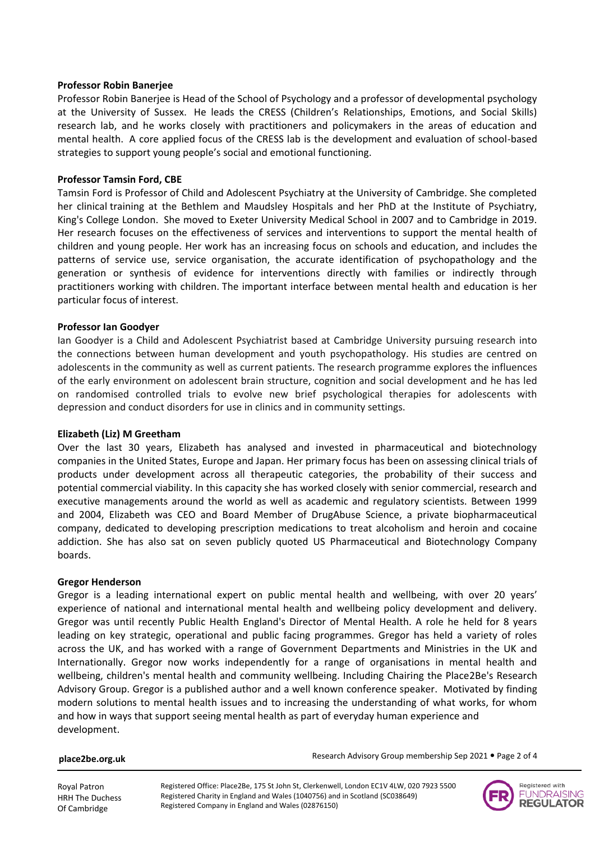## **Professor Robin Banerjee**

Professor Robin Banerjee is Head of the School of Psychology and a professor of developmental psychology at the University of Sussex. He leads the CRESS (Children's Relationships, Emotions, and Social Skills) research lab, and he works closely with practitioners and policymakers in the areas of education and mental health. A core applied focus of the CRESS lab is the development and evaluation of school-based strategies to support young people's social and emotional functioning.

## **Professor Tamsin Ford, CBE**

Tamsin Ford is Professor of Child and Adolescent Psychiatry at the University of Cambridge. She completed her clinical training at the Bethlem and Maudsley Hospitals and her PhD at the Institute of Psychiatry, King's College London. She moved to Exeter University Medical School in 2007 and to Cambridge in 2019. Her research focuses on the effectiveness of services and interventions to support the mental health of children and young people. Her work has an increasing focus on schools and education, and includes the patterns of service use, service organisation, the accurate identification of psychopathology and the generation or synthesis of evidence for interventions directly with families or indirectly through practitioners working with children. The important interface between mental health and education is her particular focus of interest.

# **Professor Ian Goodyer**

Ian Goodyer is a Child and Adolescent Psychiatrist based at Cambridge University pursuing research into the connections between human development and youth psychopathology. His studies are centred on adolescents in the community as well as current patients. The research programme explores the influences of the early environment on adolescent brain structure, cognition and social development and he has led on randomised controlled trials to evolve new brief psychological therapies for adolescents with depression and conduct disorders for use in clinics and in community settings.

# **Elizabeth (Liz) M Greetham**

Over the last 30 years, Elizabeth has analysed and invested in pharmaceutical and biotechnology companies in the United States, Europe and Japan. Her primary focus has been on assessing clinical trials of products under development across all therapeutic categories, the probability of their success and potential commercial viability. In this capacity she has worked closely with senior commercial, research and executive managements around the world as well as academic and regulatory scientists. Between 1999 and 2004, Elizabeth was CEO and Board Member of DrugAbuse Science, a private biopharmaceutical company, dedicated to developing prescription medications to treat alcoholism and heroin and cocaine addiction. She has also sat on seven publicly quoted US Pharmaceutical and Biotechnology Company boards.

## **Gregor Henderson**

Gregor is a leading international expert on public mental health and wellbeing, with over 20 years' experience of national and international mental health and wellbeing policy development and delivery. Gregor was until recently Public Health England's Director of Mental Health. A role he held for 8 years leading on key strategic, operational and public facing programmes. Gregor has held a variety of roles across the UK, and has worked with a range of Government Departments and Ministries in the UK and Internationally. Gregor now works independently for a range of organisations in mental health and wellbeing, children's mental health and community wellbeing. Including Chairing the Place2Be's Research Advisory Group. Gregor is a published author and a well known conference speaker. Motivated by finding modern solutions to mental health issues and to increasing the understanding of what works, for whom and how in ways that support seeing mental health as part of everyday human experience and development.

#### **place2be.org.uk**

Research Advisory Group membership Sep 2021 . Page 2 of 4

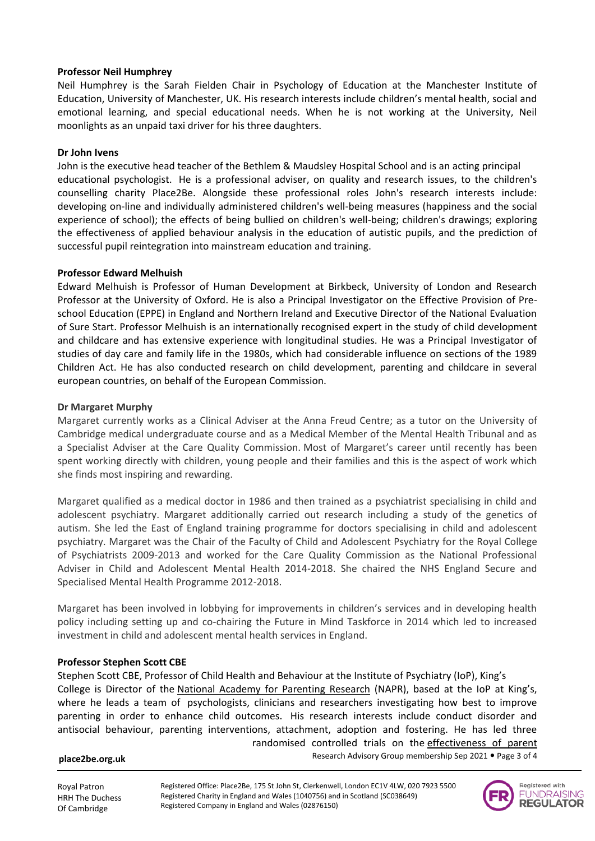# **Professor Neil Humphrey**

Neil Humphrey is the Sarah Fielden Chair in Psychology of Education at the Manchester Institute of Education, University of Manchester, UK. His research interests include children's mental health, social and emotional learning, and special educational needs. When he is not working at the University, Neil moonlights as an unpaid taxi driver for his three daughters.

# **Dr John Ivens**

John is the executive head teacher of the Bethlem & Maudsley Hospital School and is an acting principal educational psychologist. He is a professional adviser, on quality and research issues, to the children's counselling charity Place2Be. Alongside these professional roles John's research interests include: developing on-line and individually administered children's well-being measures (happiness and the social experience of school); the effects of being bullied on children's well-being; children's drawings; exploring the effectiveness of applied behaviour analysis in the education of autistic pupils, and the prediction of successful pupil reintegration into mainstream education and training.

# **Professor Edward Melhuish**

Edward Melhuish is Professor of Human Development at Birkbeck, University of London and Research Professor at the University of Oxford. He is also a Principal Investigator on the Effective Provision of Preschool Education (EPPE) in England and Northern Ireland and Executive Director of the National Evaluation of Sure Start. Professor Melhuish is an internationally recognised expert in the study of child development and childcare and has extensive experience with longitudinal studies. He was a Principal Investigator of studies of day care and family life in the 1980s, which had considerable influence on sections of the 1989 Children Act. He has also conducted research on child development, parenting and childcare in several european countries, on behalf of the European Commission.

# **Dr Margaret Murphy**

Margaret currently works as a Clinical Adviser at the Anna Freud Centre; as a tutor on the University of Cambridge medical undergraduate course and as a Medical Member of the Mental Health Tribunal and as a Specialist Adviser at the Care Quality Commission. Most of Margaret's career until recently has been spent working directly with children, young people and their families and this is the aspect of work which she finds most inspiring and rewarding.

Margaret qualified as a medical doctor in 1986 and then trained as a psychiatrist specialising in child and adolescent psychiatry. Margaret additionally carried out research including a study of the genetics of autism. She led the East of England training programme for doctors specialising in child and adolescent psychiatry. Margaret was the Chair of the Faculty of Child and Adolescent Psychiatry for the Royal College of Psychiatrists 2009-2013 and worked for the Care Quality Commission as the National Professional Adviser in Child and Adolescent Mental Health 2014-2018. She chaired the NHS England Secure and Specialised Mental Health Programme 2012-2018.

Margaret has been involved in lobbying for improvements in children's services and in developing health policy including setting up and co-chairing the Future in Mind Taskforce in 2014 which led to increased investment in child and adolescent mental health services in England.

# **Professor Stephen Scott CBE**

Stephen Scott CBE, Professor of Child Health and Behaviour at the Institute of Psychiatry (IoP), King's College is Director of the [National Academy for Parenting Research](http://www.parentingresearch.org.uk/) (NAPR), based at the IoP at King's, where he leads a team of psychologists, clinicians and researchers investigating how best to improve parenting in order to enhance child outcomes. His research interests include conduct disorder and antisocial behaviour, parenting interventions, attachment, adoption and fostering. He has led three randomised controlled trials on the [effectiveness of parent](http://www.parentingresearch.org.uk/Projects.aspx) 

## **place2be.org.uk**

Research Advisory Group membership Sep 2021 . Page 3 of 4